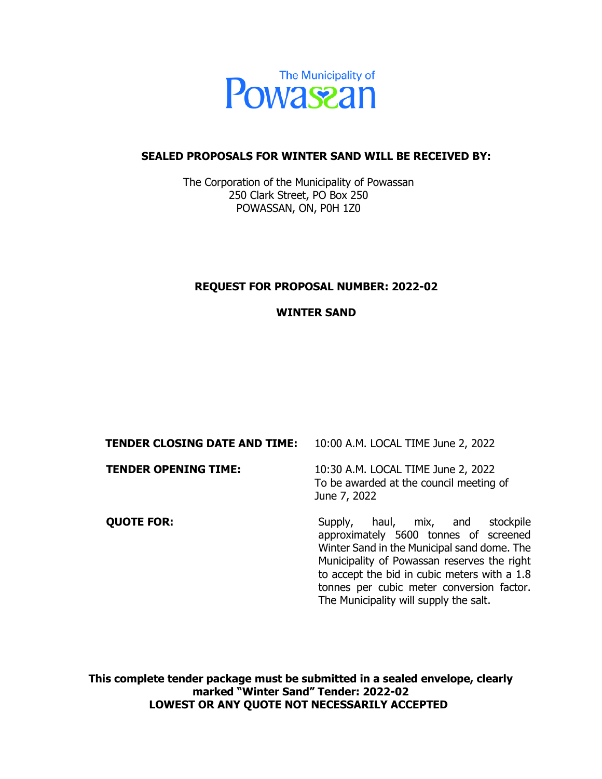

### **SEALED PROPOSALS FOR WINTER SAND WILL BE RECEIVED BY:**

The Corporation of the Municipality of Powassan 250 Clark Street, PO Box 250 POWASSAN, ON, P0H 1Z0

#### **REQUEST FOR PROPOSAL NUMBER: 2022-02**

#### **WINTER SAND**

| <b>TENDER CLOSING DATE AND TIME:</b> | 10:00 A.M. LOCAL TIME June 2, 2022                                                                                                                                                                                                                                                                                   |  |  |  |  |
|--------------------------------------|----------------------------------------------------------------------------------------------------------------------------------------------------------------------------------------------------------------------------------------------------------------------------------------------------------------------|--|--|--|--|
| <b>TENDER OPENING TIME:</b>          | 10:30 A.M. LOCAL TIME June 2, 2022<br>To be awarded at the council meeting of<br>June 7, 2022                                                                                                                                                                                                                        |  |  |  |  |
| <b>QUOTE FOR:</b>                    | haul, mix, and<br>stockpile<br>Supply,<br>approximately 5600 tonnes of screened<br>Winter Sand in the Municipal sand dome. The<br>Municipality of Powassan reserves the right<br>to accept the bid in cubic meters with a 1.8<br>tonnes per cubic meter conversion factor.<br>The Municipality will supply the salt. |  |  |  |  |

**This complete tender package must be submitted in a sealed envelope, clearly marked "Winter Sand" Tender: 2022-02 LOWEST OR ANY QUOTE NOT NECESSARILY ACCEPTED**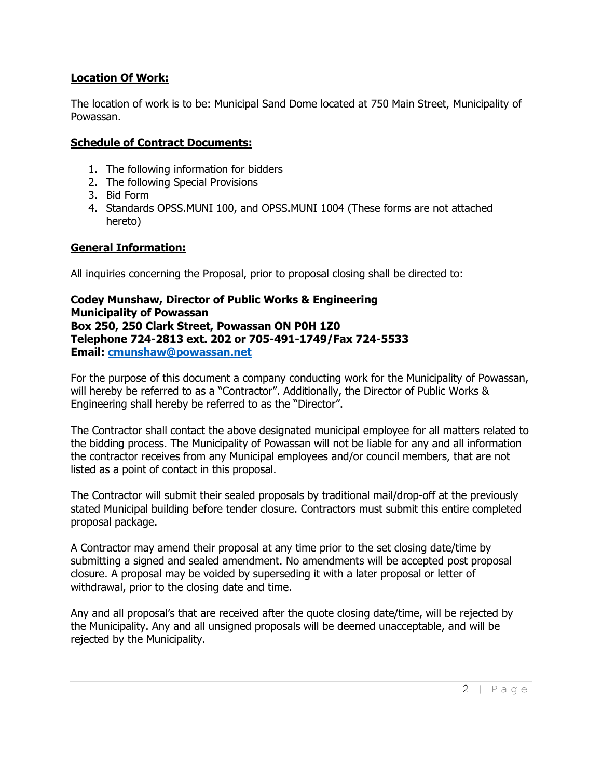# **Location Of Work:**

The location of work is to be: Municipal Sand Dome located at 750 Main Street, Municipality of Powassan.

## **Schedule of Contract Documents:**

- 1. The following information for bidders
- 2. The following Special Provisions
- 3. Bid Form
- 4. Standards OPSS.MUNI 100, and OPSS.MUNI 1004 (These forms are not attached hereto)

### **General Information:**

All inquiries concerning the Proposal, prior to proposal closing shall be directed to:

### **Codey Munshaw, Director of Public Works & Engineering Municipality of Powassan Box 250, 250 Clark Street, Powassan ON P0H 1Z0 Telephone 724-2813 ext. 202 or 705-491-1749/Fax 724-5533 Email: [cmunshaw@powassan.net](mailto:cmunshaw@powassan.net)**

For the purpose of this document a company conducting work for the Municipality of Powassan, will hereby be referred to as a "Contractor". Additionally, the Director of Public Works & Engineering shall hereby be referred to as the "Director".

The Contractor shall contact the above designated municipal employee for all matters related to the bidding process. The Municipality of Powassan will not be liable for any and all information the contractor receives from any Municipal employees and/or council members, that are not listed as a point of contact in this proposal.

The Contractor will submit their sealed proposals by traditional mail/drop-off at the previously stated Municipal building before tender closure. Contractors must submit this entire completed proposal package.

A Contractor may amend their proposal at any time prior to the set closing date/time by submitting a signed and sealed amendment. No amendments will be accepted post proposal closure. A proposal may be voided by superseding it with a later proposal or letter of withdrawal, prior to the closing date and time.

Any and all proposal's that are received after the quote closing date/time, will be rejected by the Municipality. Any and all unsigned proposals will be deemed unacceptable, and will be rejected by the Municipality.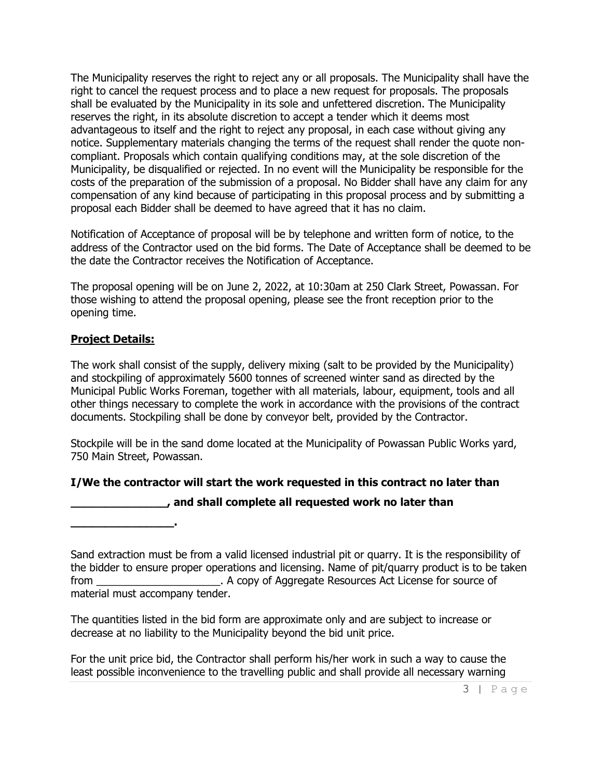The Municipality reserves the right to reject any or all proposals. The Municipality shall have the right to cancel the request process and to place a new request for proposals. The proposals shall be evaluated by the Municipality in its sole and unfettered discretion. The Municipality reserves the right, in its absolute discretion to accept a tender which it deems most advantageous to itself and the right to reject any proposal, in each case without giving any notice. Supplementary materials changing the terms of the request shall render the quote noncompliant. Proposals which contain qualifying conditions may, at the sole discretion of the Municipality, be disqualified or rejected. In no event will the Municipality be responsible for the costs of the preparation of the submission of a proposal. No Bidder shall have any claim for any compensation of any kind because of participating in this proposal process and by submitting a proposal each Bidder shall be deemed to have agreed that it has no claim.

Notification of Acceptance of proposal will be by telephone and written form of notice, to the address of the Contractor used on the bid forms. The Date of Acceptance shall be deemed to be the date the Contractor receives the Notification of Acceptance.

The proposal opening will be on June 2, 2022, at 10:30am at 250 Clark Street, Powassan. For those wishing to attend the proposal opening, please see the front reception prior to the opening time.

# **Project Details:**

The work shall consist of the supply, delivery mixing (salt to be provided by the Municipality) and stockpiling of approximately 5600 tonnes of screened winter sand as directed by the Municipal Public Works Foreman, together with all materials, labour, equipment, tools and all other things necessary to complete the work in accordance with the provisions of the contract documents. Stockpiling shall be done by conveyor belt, provided by the Contractor.

Stockpile will be in the sand dome located at the Municipality of Powassan Public Works yard, 750 Main Street, Powassan.

# **I/We the contractor will start the work requested in this contract no later than**

**\_\_\_\_\_\_\_\_\_\_\_\_\_\_, and shall complete all requested work no later than** 

**\_\_\_\_\_\_\_\_\_\_\_\_\_\_\_.**

Sand extraction must be from a valid licensed industrial pit or quarry. It is the responsibility of the bidder to ensure proper operations and licensing. Name of pit/quarry product is to be taken from \_\_\_\_\_\_\_\_\_\_\_\_\_\_\_\_\_\_\_\_\_. A copy of Aggregate Resources Act License for source of material must accompany tender.

The quantities listed in the bid form are approximate only and are subject to increase or decrease at no liability to the Municipality beyond the bid unit price.

For the unit price bid, the Contractor shall perform his/her work in such a way to cause the least possible inconvenience to the travelling public and shall provide all necessary warning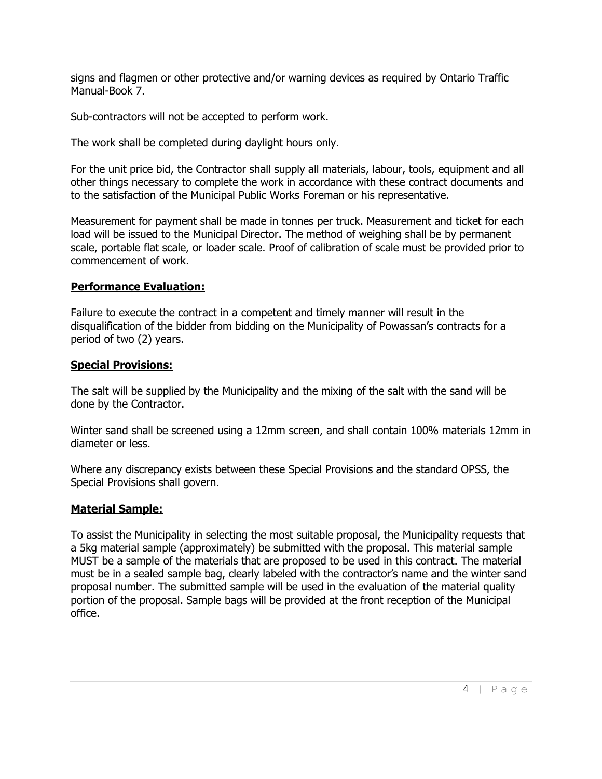signs and flagmen or other protective and/or warning devices as required by Ontario Traffic Manual-Book 7.

Sub-contractors will not be accepted to perform work.

The work shall be completed during daylight hours only.

For the unit price bid, the Contractor shall supply all materials, labour, tools, equipment and all other things necessary to complete the work in accordance with these contract documents and to the satisfaction of the Municipal Public Works Foreman or his representative.

Measurement for payment shall be made in tonnes per truck. Measurement and ticket for each load will be issued to the Municipal Director. The method of weighing shall be by permanent scale, portable flat scale, or loader scale. Proof of calibration of scale must be provided prior to commencement of work.

# **Performance Evaluation:**

Failure to execute the contract in a competent and timely manner will result in the disqualification of the bidder from bidding on the Municipality of Powassan's contracts for a period of two (2) years.

## **Special Provisions:**

The salt will be supplied by the Municipality and the mixing of the salt with the sand will be done by the Contractor.

Winter sand shall be screened using a 12mm screen, and shall contain 100% materials 12mm in diameter or less.

Where any discrepancy exists between these Special Provisions and the standard OPSS, the Special Provisions shall govern.

# **Material Sample:**

To assist the Municipality in selecting the most suitable proposal, the Municipality requests that a 5kg material sample (approximately) be submitted with the proposal. This material sample MUST be a sample of the materials that are proposed to be used in this contract. The material must be in a sealed sample bag, clearly labeled with the contractor's name and the winter sand proposal number. The submitted sample will be used in the evaluation of the material quality portion of the proposal. Sample bags will be provided at the front reception of the Municipal office.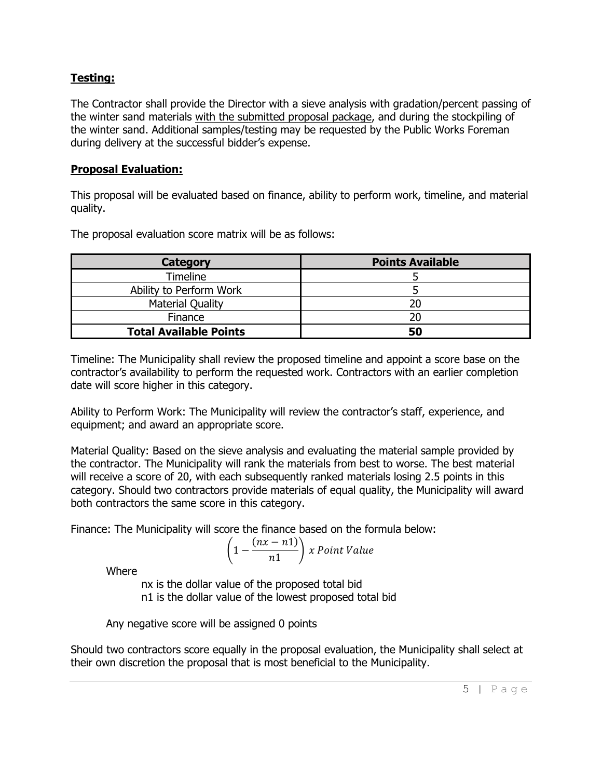# **Testing:**

The Contractor shall provide the Director with a sieve analysis with gradation/percent passing of the winter sand materials with the submitted proposal package, and during the stockpiling of the winter sand. Additional samples/testing may be requested by the Public Works Foreman during delivery at the successful bidder's expense.

# **Proposal Evaluation:**

This proposal will be evaluated based on finance, ability to perform work, timeline, and material quality.

The proposal evaluation score matrix will be as follows:

| Category                      | <b>Points Available</b> |  |  |  |
|-------------------------------|-------------------------|--|--|--|
| <b>Timeline</b>               |                         |  |  |  |
| Ability to Perform Work       |                         |  |  |  |
| <b>Material Quality</b>       | 20                      |  |  |  |
| Finance                       | 20                      |  |  |  |
| <b>Total Available Points</b> | 50                      |  |  |  |

Timeline: The Municipality shall review the proposed timeline and appoint a score base on the contractor's availability to perform the requested work. Contractors with an earlier completion date will score higher in this category.

Ability to Perform Work: The Municipality will review the contractor's staff, experience, and equipment; and award an appropriate score.

Material Quality: Based on the sieve analysis and evaluating the material sample provided by the contractor. The Municipality will rank the materials from best to worse. The best material will receive a score of 20, with each subsequently ranked materials losing 2.5 points in this category. Should two contractors provide materials of equal quality, the Municipality will award both contractors the same score in this category.

Finance: The Municipality will score the finance based on the formula below:

$$
\left(1-\frac{(nx-n1)}{n1}\right)x \; Point \; Value
$$

Where

nx is the dollar value of the proposed total bid n1 is the dollar value of the lowest proposed total bid

Any negative score will be assigned 0 points

Should two contractors score equally in the proposal evaluation, the Municipality shall select at their own discretion the proposal that is most beneficial to the Municipality.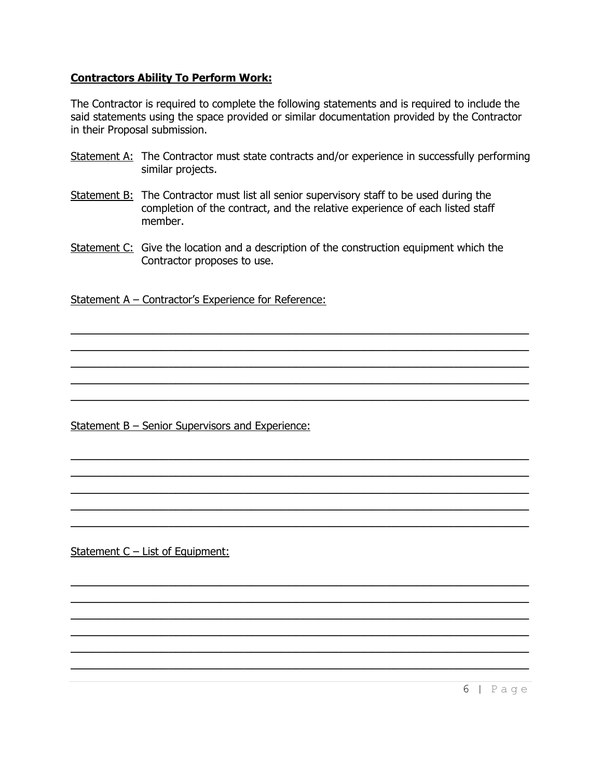## **Contractors Ability To Perform Work:**

The Contractor is required to complete the following statements and is required to include the said statements using the space provided or similar documentation provided by the Contractor in their Proposal submission.

- Statement A: The Contractor must state contracts and/or experience in successfully performing similar projects.
- Statement B: The Contractor must list all senior supervisory staff to be used during the completion of the contract, and the relative experience of each listed staff member.
- Statement C: Give the location and a description of the construction equipment which the Contractor proposes to use.

 $\overline{\phantom{a}}$  , and the contract of the contract of the contract of the contract of the contract of the contract of the contract of the contract of the contract of the contract of the contract of the contract of the contrac  $\overline{\phantom{a}}$  , and the contract of the contract of the contract of the contract of the contract of the contract of the contract of the contract of the contract of the contract of the contract of the contract of the contrac  $\mathcal{L}_\text{max}$  , and the contract of the contract of the contract of the contract of the contract of the contract of the contract of the contract of the contract of the contract of the contract of the contract of the contr  $\mathcal{L}_\text{max}$  , and the contract of the contract of the contract of the contract of the contract of the contract of the contract of the contract of the contract of the contract of the contract of the contract of the contr  $\mathcal{L}_\text{max}$  , and the contract of the contract of the contract of the contract of the contract of the contract of the contract of the contract of the contract of the contract of the contract of the contract of the contr

 $\overline{\phantom{a}}$  , and the contract of the contract of the contract of the contract of the contract of the contract of the contract of the contract of the contract of the contract of the contract of the contract of the contrac  $\mathcal{L}_\text{max}$  , and the contract of the contract of the contract of the contract of the contract of the contract of the contract of the contract of the contract of the contract of the contract of the contract of the contr  $\mathcal{L}_\text{max}$  , and the contract of the contract of the contract of the contract of the contract of the contract of the contract of the contract of the contract of the contract of the contract of the contract of the contr  $\overline{\phantom{a}}$  ,  $\overline{\phantom{a}}$  ,  $\overline{\phantom{a}}$  ,  $\overline{\phantom{a}}$  ,  $\overline{\phantom{a}}$  ,  $\overline{\phantom{a}}$  ,  $\overline{\phantom{a}}$  ,  $\overline{\phantom{a}}$  ,  $\overline{\phantom{a}}$  ,  $\overline{\phantom{a}}$  ,  $\overline{\phantom{a}}$  ,  $\overline{\phantom{a}}$  ,  $\overline{\phantom{a}}$  ,  $\overline{\phantom{a}}$  ,  $\overline{\phantom{a}}$  ,  $\overline{\phantom{a}}$  $\overline{\phantom{a}}$  , and the contract of the contract of the contract of the contract of the contract of the contract of the contract of the contract of the contract of the contract of the contract of the contract of the contrac

 $\mathcal{L}_\text{max}$  , and the contract of the contract of the contract of the contract of the contract of the contract of the contract of the contract of the contract of the contract of the contract of the contract of the contr  $\mathcal{L}_\text{max}$  , and the contract of the contract of the contract of the contract of the contract of the contract of the contract of the contract of the contract of the contract of the contract of the contract of the contr  $\overline{\phantom{a}}$  ,  $\overline{\phantom{a}}$  ,  $\overline{\phantom{a}}$  ,  $\overline{\phantom{a}}$  ,  $\overline{\phantom{a}}$  ,  $\overline{\phantom{a}}$  ,  $\overline{\phantom{a}}$  ,  $\overline{\phantom{a}}$  ,  $\overline{\phantom{a}}$  ,  $\overline{\phantom{a}}$  ,  $\overline{\phantom{a}}$  ,  $\overline{\phantom{a}}$  ,  $\overline{\phantom{a}}$  ,  $\overline{\phantom{a}}$  ,  $\overline{\phantom{a}}$  ,  $\overline{\phantom{a}}$  $\overline{\phantom{a}}$  , and the contract of the contract of the contract of the contract of the contract of the contract of the contract of the contract of the contract of the contract of the contract of the contract of the contrac  $\overline{\phantom{a}}$  , and the contract of the contract of the contract of the contract of the contract of the contract of the contract of the contract of the contract of the contract of the contract of the contract of the contrac  $\overline{\phantom{a}}$  , and the contract of the contract of the contract of the contract of the contract of the contract of the contract of the contract of the contract of the contract of the contract of the contract of the contrac

Statement A – Contractor's Experience for Reference:

Statement B – Senior Supervisors and Experience:

Statement C - List of Equipment: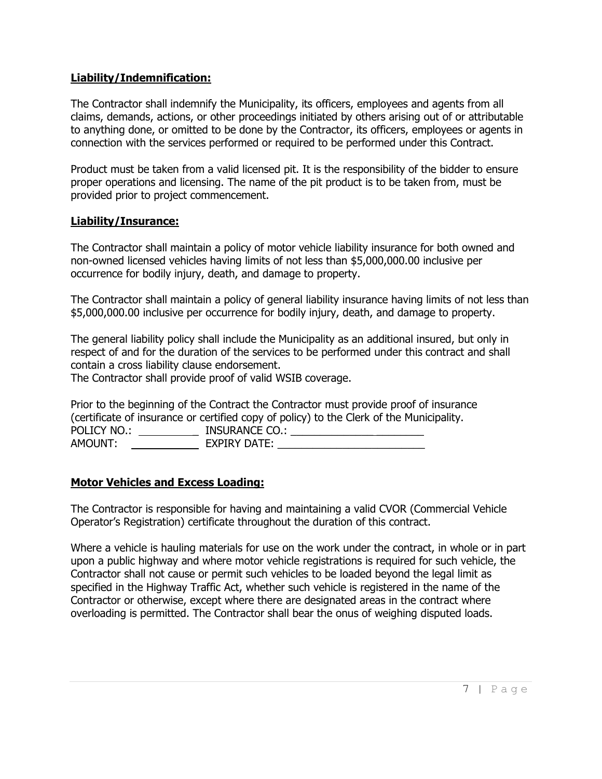## **Liability/Indemnification:**

The Contractor shall indemnify the Municipality, its officers, employees and agents from all claims, demands, actions, or other proceedings initiated by others arising out of or attributable to anything done, or omitted to be done by the Contractor, its officers, employees or agents in connection with the services performed or required to be performed under this Contract.

Product must be taken from a valid licensed pit. It is the responsibility of the bidder to ensure proper operations and licensing. The name of the pit product is to be taken from, must be provided prior to project commencement.

## **Liability/Insurance:**

The Contractor shall maintain a policy of motor vehicle liability insurance for both owned and non-owned licensed vehicles having limits of not less than \$5,000,000.00 inclusive per occurrence for bodily injury, death, and damage to property.

The Contractor shall maintain a policy of general liability insurance having limits of not less than \$5,000,000.00 inclusive per occurrence for bodily injury, death, and damage to property.

The general liability policy shall include the Municipality as an additional insured, but only in respect of and for the duration of the services to be performed under this contract and shall contain a cross liability clause endorsement.

The Contractor shall provide proof of valid WSIB coverage.

Prior to the beginning of the Contract the Contractor must provide proof of insurance (certificate of insurance or certified copy of policy) to the Clerk of the Municipality. POLICY NO.: \_ INSURANCE CO.: \_\_\_\_\_\_\_\_\_\_\_\_\_\_ \_\_\_\_\_\_\_\_ AMOUNT: EXPIRY DATE: \_\_\_\_\_\_\_\_\_\_\_\_\_\_\_\_\_\_\_\_\_\_\_\_\_

# **Motor Vehicles and Excess Loading:**

The Contractor is responsible for having and maintaining a valid CVOR (Commercial Vehicle Operator's Registration) certificate throughout the duration of this contract.

Where a vehicle is hauling materials for use on the work under the contract, in whole or in part upon a public highway and where motor vehicle registrations is required for such vehicle, the Contractor shall not cause or permit such vehicles to be loaded beyond the legal limit as specified in the Highway Traffic Act, whether such vehicle is registered in the name of the Contractor or otherwise, except where there are designated areas in the contract where overloading is permitted. The Contractor shall bear the onus of weighing disputed loads.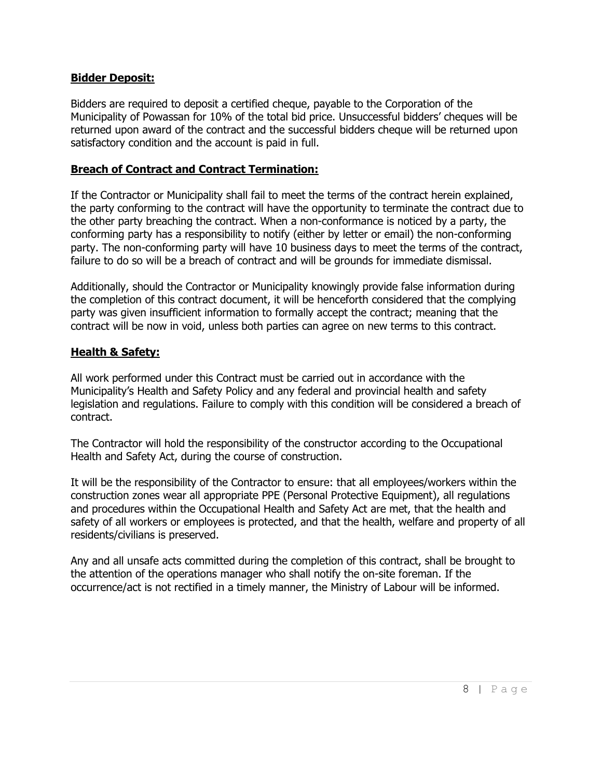## **Bidder Deposit:**

Bidders are required to deposit a certified cheque, payable to the Corporation of the Municipality of Powassan for 10% of the total bid price. Unsuccessful bidders' cheques will be returned upon award of the contract and the successful bidders cheque will be returned upon satisfactory condition and the account is paid in full.

## **Breach of Contract and Contract Termination:**

If the Contractor or Municipality shall fail to meet the terms of the contract herein explained, the party conforming to the contract will have the opportunity to terminate the contract due to the other party breaching the contract. When a non-conformance is noticed by a party, the conforming party has a responsibility to notify (either by letter or email) the non-conforming party. The non-conforming party will have 10 business days to meet the terms of the contract, failure to do so will be a breach of contract and will be grounds for immediate dismissal.

Additionally, should the Contractor or Municipality knowingly provide false information during the completion of this contract document, it will be henceforth considered that the complying party was given insufficient information to formally accept the contract; meaning that the contract will be now in void, unless both parties can agree on new terms to this contract.

# **Health & Safety:**

All work performed under this Contract must be carried out in accordance with the Municipality's Health and Safety Policy and any federal and provincial health and safety legislation and regulations. Failure to comply with this condition will be considered a breach of contract.

The Contractor will hold the responsibility of the constructor according to the Occupational Health and Safety Act, during the course of construction.

It will be the responsibility of the Contractor to ensure: that all employees/workers within the construction zones wear all appropriate PPE (Personal Protective Equipment), all regulations and procedures within the Occupational Health and Safety Act are met, that the health and safety of all workers or employees is protected, and that the health, welfare and property of all residents/civilians is preserved.

Any and all unsafe acts committed during the completion of this contract, shall be brought to the attention of the operations manager who shall notify the on-site foreman. If the occurrence/act is not rectified in a timely manner, the Ministry of Labour will be informed.